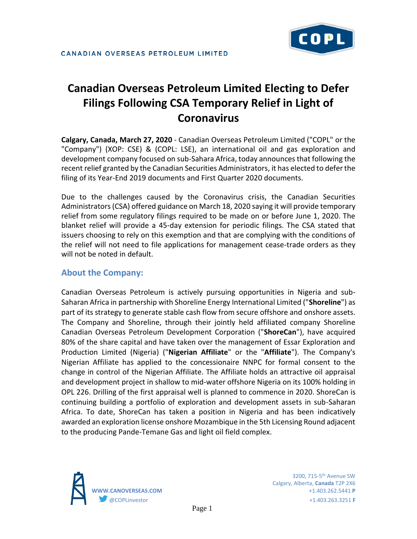

# **Canadian Overseas Petroleum Limited Electing to Defer Filings Following CSA Temporary Relief in Light of Coronavirus**

**Calgary, Canada, March 27, 2020** - Canadian Overseas Petroleum Limited ("COPL" or the "Company") (XOP: CSE) & (COPL: LSE), an international oil and gas exploration and development company focused on sub-Sahara Africa, today announces that following the recent relief granted by the Canadian Securities Administrators, it has elected to defer the filing of its Year-End 2019 documents and First Quarter 2020 documents.

Due to the challenges caused by the Coronavirus crisis, the Canadian Securities Administrators (CSA) offered guidance on March 18, 2020 saying it will provide temporary relief from some regulatory filings required to be made on or before June 1, 2020. The blanket relief will provide a 45-day extension for periodic filings. The CSA stated that issuers choosing to rely on this exemption and that are complying with the conditions of the relief will not need to file applications for management cease-trade orders as they will not be noted in default.

## **About the Company:**

Canadian Overseas Petroleum is actively pursuing opportunities in Nigeria and sub-Saharan Africa in partnership with Shoreline Energy International Limited ("**Shoreline**") as part of its strategy to generate stable cash flow from secure offshore and onshore assets. The Company and Shoreline, through their jointly held affiliated company Shoreline Canadian Overseas Petroleum Development Corporation ("**ShoreCan**"), have acquired 80% of the share capital and have taken over the management of Essar Exploration and Production Limited (Nigeria) ("**Nigerian Affiliate**" or the "**Affiliate**"). The Company's Nigerian Affiliate has applied to the concessionaire NNPC for formal consent to the change in control of the Nigerian Affiliate. The Affiliate holds an attractive oil appraisal and development project in shallow to mid-water offshore Nigeria on its 100% holding in OPL 226. Drilling of the first appraisal well is planned to commence in 2020. ShoreCan is continuing building a portfolio of exploration and development assets in sub-Saharan Africa. To date, ShoreCan has taken a position in Nigeria and has been indicatively awarded an exploration license onshore Mozambique in the 5th Licensing Round adjacent to the producing Pande-Temane Gas and light oil field complex.



Calgary, Alberta, **Canada** T2P 2X6 **WWW.CANOVERSEAS.COM** +1.403.262.5441 **P** @COPLinvestor +1.403.263.3251 **F**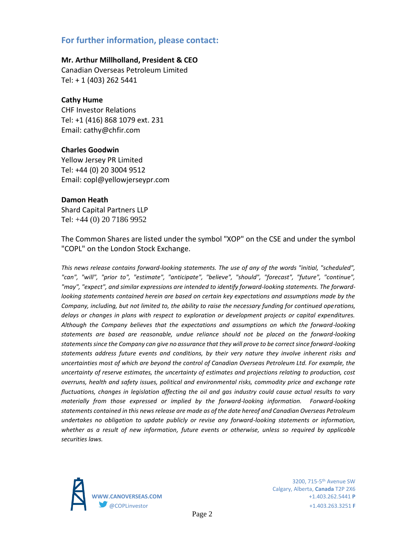### **For further information, please contact:**

#### **Mr. Arthur Millholland, President & CEO**

Canadian Overseas Petroleum Limited Tel: + 1 (403) 262 5441

#### **Cathy Hume**

CHF Investor Relations Tel: +1 (416) 868 1079 ext. 231 Email: cathy@chfir.com

#### **Charles Goodwin**

Yellow Jersey PR Limited Tel: +44 (0) 20 3004 9512 Email: copl@yellowjerseypr.com

#### **Damon Heath**

Shard Capital Partners LLP Tel: +44 (0) 20 7186 9952

The Common Shares are listed under the symbol "XOP" on the CSE and under the symbol "COPL" on the London Stock Exchange.

*This news release contains forward-looking statements. The use of any of the words "initial, "scheduled", "can", "will", "prior to", "estimate", "anticipate", "believe", "should", "forecast", "future", "continue", "may", "expect", and similar expressions are intended to identify forward-looking statements. The forwardlooking statements contained herein are based on certain key expectations and assumptions made by the Company, including, but not limited to, the ability to raise the necessary funding for continued operations, delays or changes in plans with respect to exploration or development projects or capital expenditures. Although the Company believes that the expectations and assumptions on which the forward-looking statements are based are reasonable, undue reliance should not be placed on the forward-looking statements since the Company can give no assurance that they will prove to be correct since forward-looking statements address future events and conditions, by their very nature they involve inherent risks and uncertainties most of which are beyond the control of Canadian Overseas Petroleum Ltd. For example, the uncertainty of reserve estimates, the uncertainty of estimates and projections relating to production, cost overruns, health and safety issues, political and environmental risks, commodity price and exchange rate fluctuations, changes in legislation affecting the oil and gas industry could cause actual results to vary materially from those expressed or implied by the forward-looking information. Forward-looking statements contained in this news release are made as of the date hereof and Canadian Overseas Petroleum undertakes no obligation to update publicly or revise any forward-looking statements or information, whether as a result of new information, future events or otherwise, unless so required by applicable securities laws.*



Calgary, Alberta, **Canada** T2P 2X6 **WWW.CANOVERSEAS.COM** +1.403.262.5441 **P** @COPLinvestor +1.403.263.3251 **F**